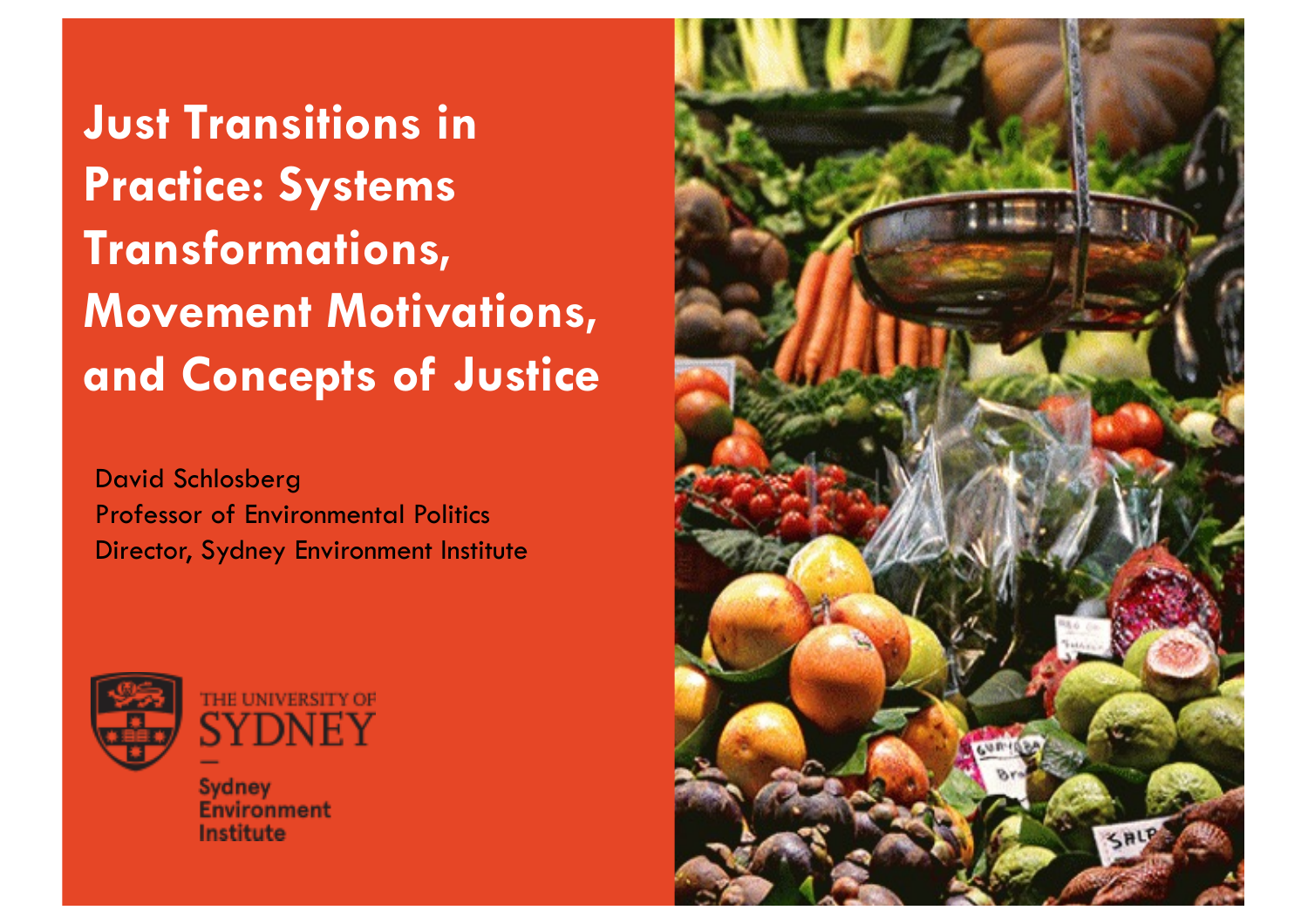**Just Transitions in Practice: Systems Transformations, Movement Motivations, and Concepts of Justice**

David Schlosberg Professor of Environmental Politics Director, Sydney Environment Institute



**Sydney Environment** Institute

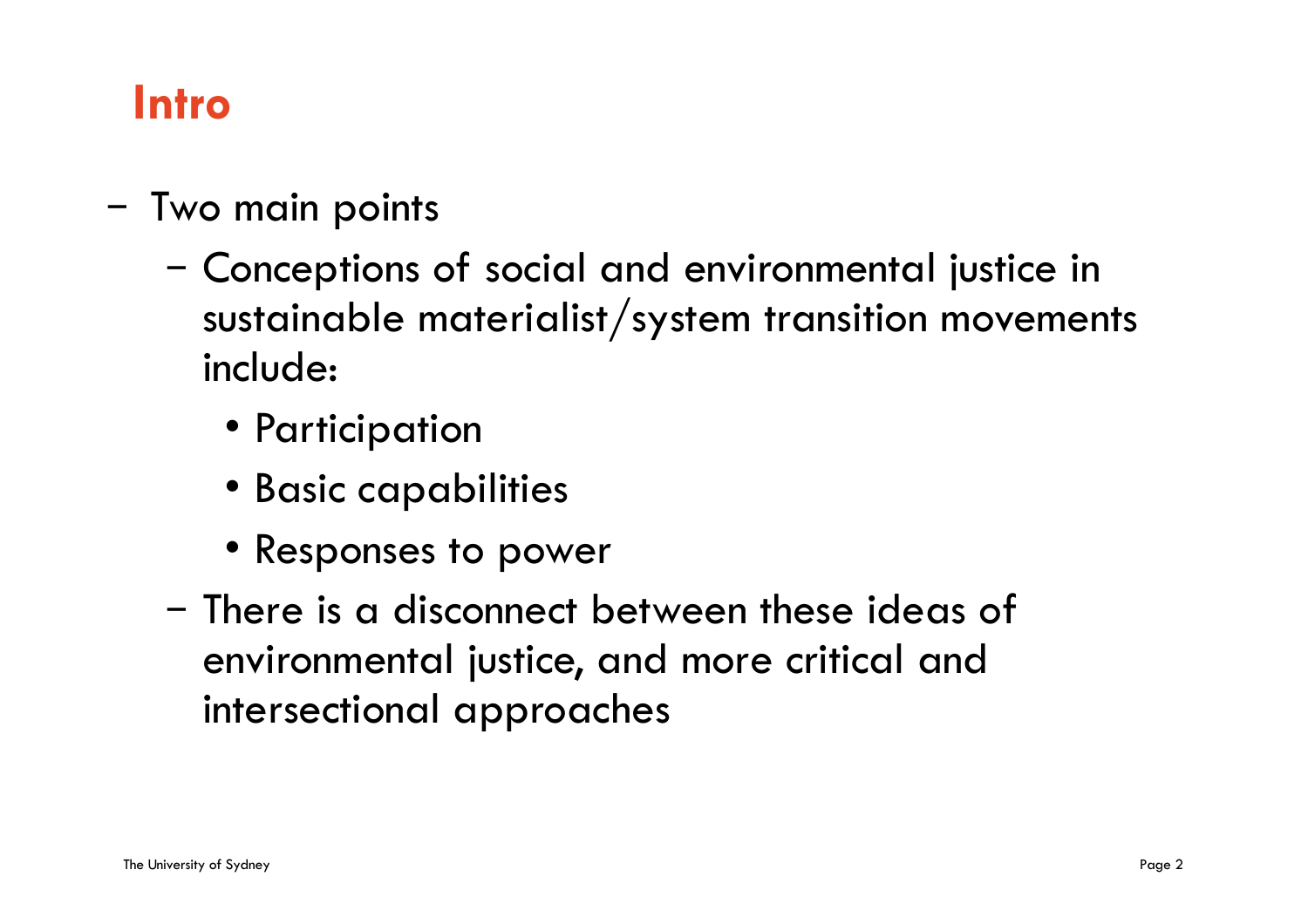#### **Intro**

- Two main points
	- Conceptions of social and environmental justice in sustainable materialist/system transition movements include:
		- Participation
		- Basic capabilities
		- Responses to power
	- There is a disconnect between these ideas of environmental justice, and more critical and intersectional approaches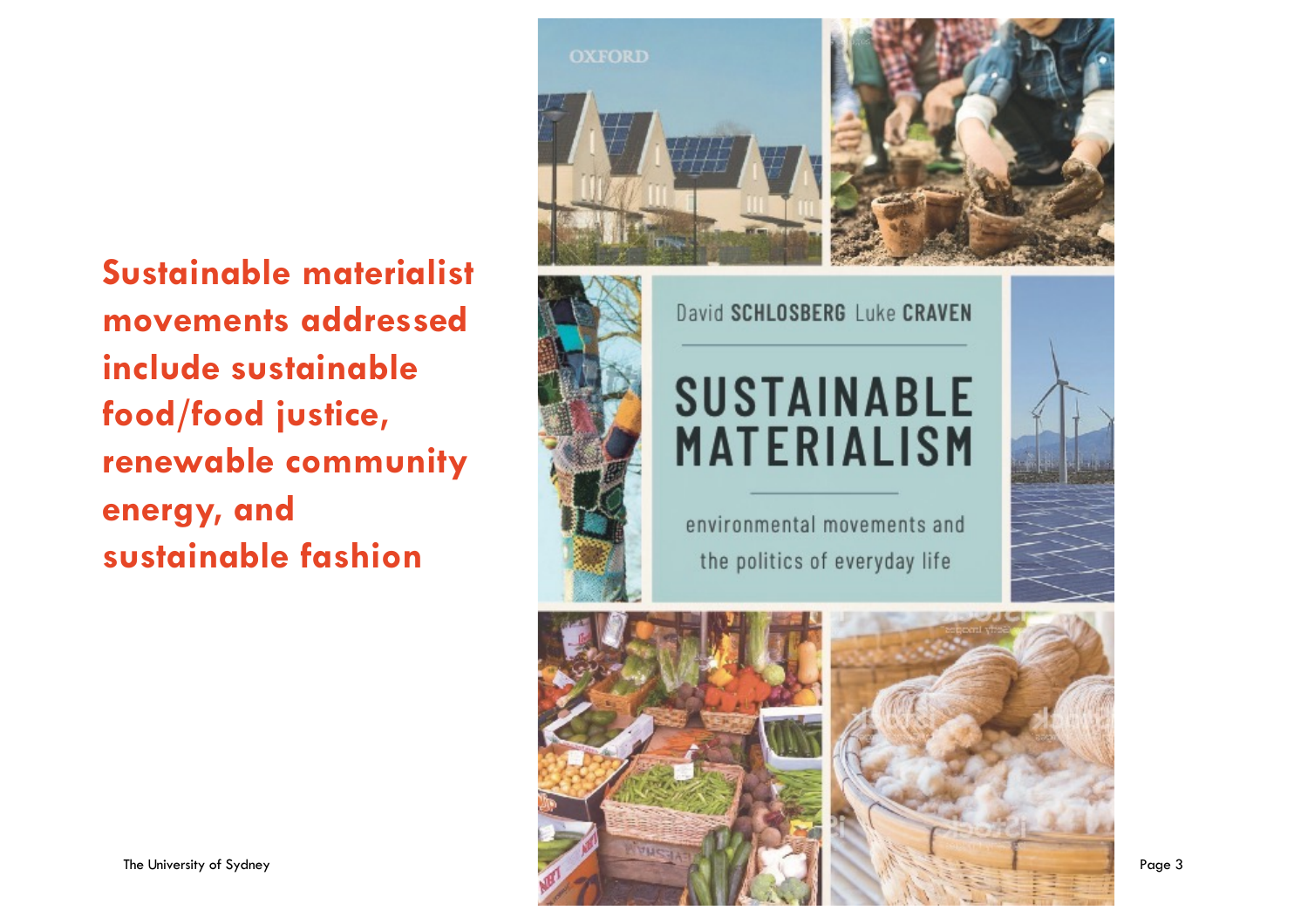#### **Sustainable materialist movements addressed include sustainable food/food justice, renewable community energy, and sustainable fashion**





David SCHLOSBERG Luke CRAVEN

## **SUSTAINABLE MATERIALISM**

environmental movements and the politics of everyday life

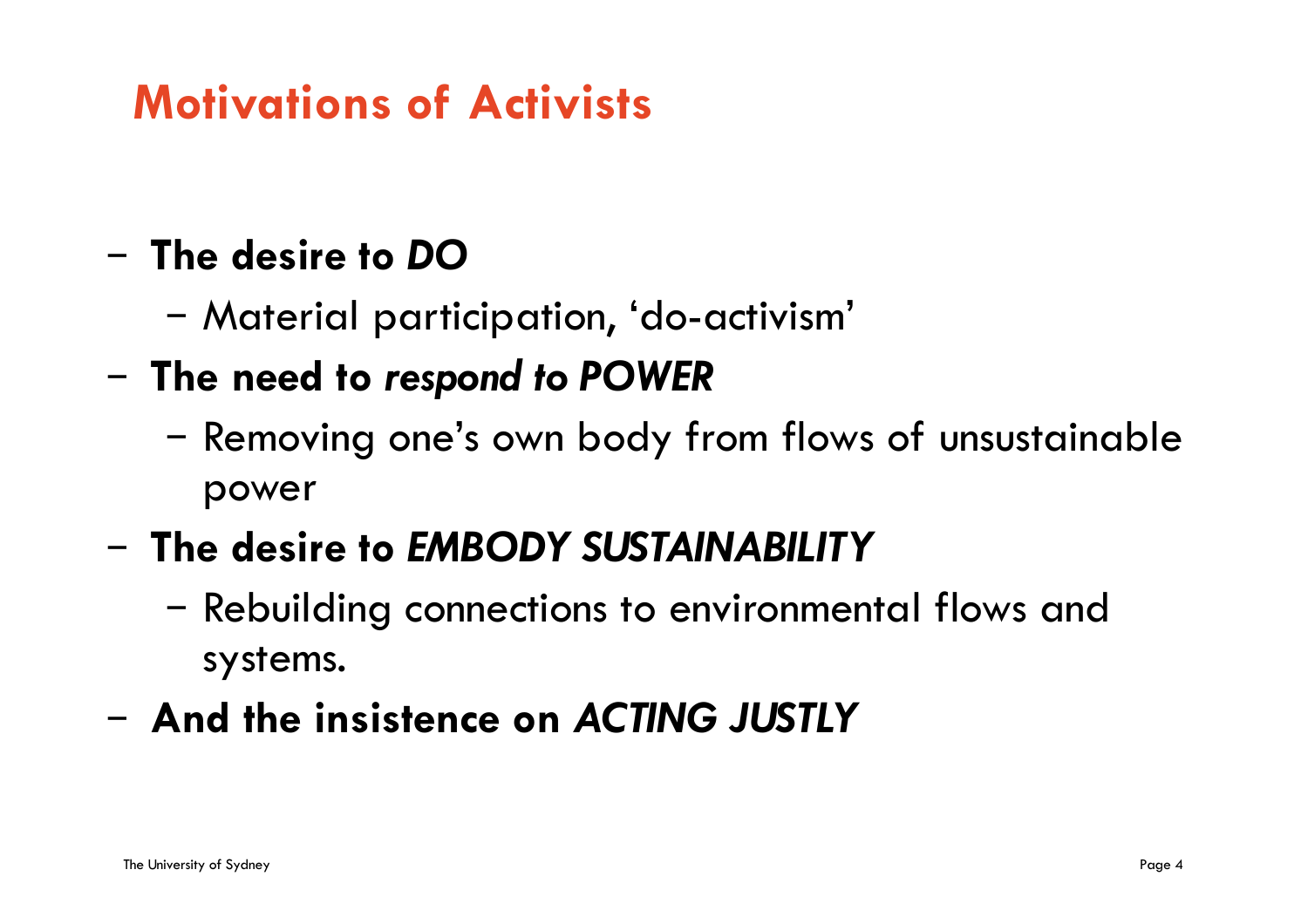## **Motivations of Activists**

#### – **The desire to** *DO*

- Material participation, 'do-activism'
- **The need to** *respond to POWER*
	- Removing one's own body from flows of unsustainable power
- **The desire to** *EMBODY SUSTAINABILITY*
	- Rebuilding connections to environmental flows and systems.
- **And the insistence on** *ACTING JUSTLY*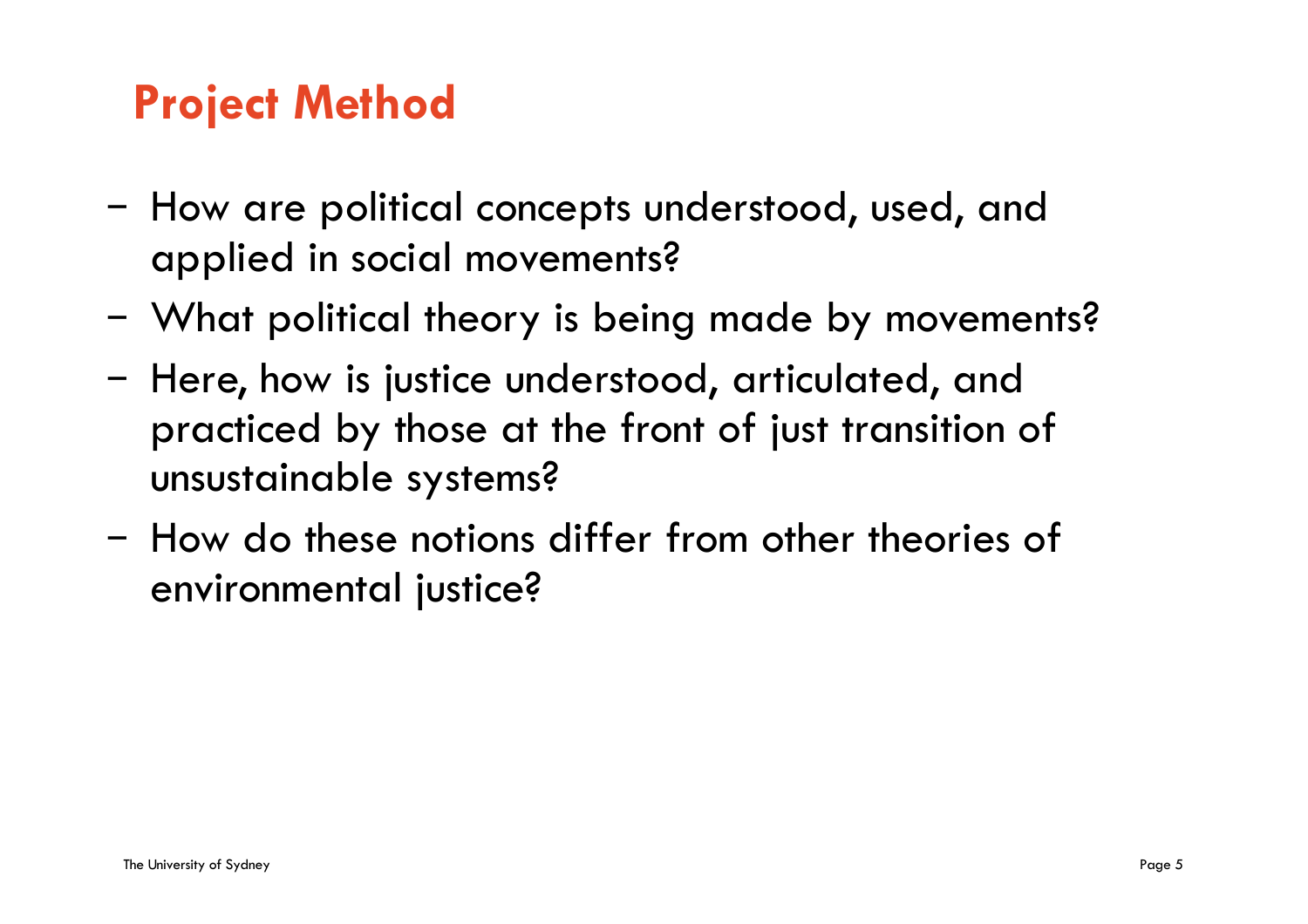### **Project Method**

- How are political concepts understood, used, and applied in social movements?
- What political theory is being made by movements?
- Here, how is justice understood, articulated, and practiced by those at the front of just transition of unsustainable systems?
- How do these notions differ from other theories of environmental justice?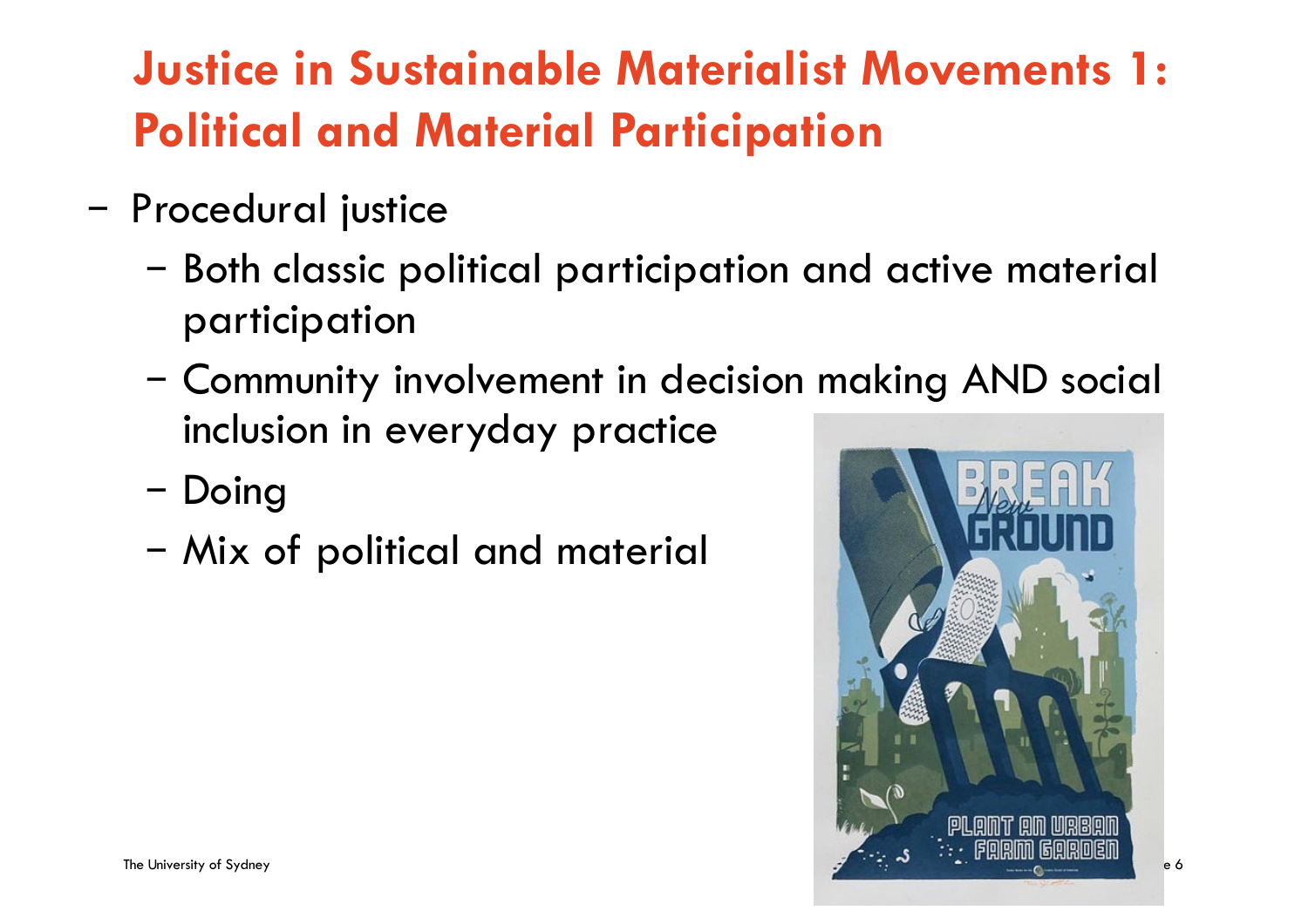# **Justice in Sustainable Materialist Movements 1: Political and Material Participation**

- Procedural justice
	- Both classic political participation and active material participation
	- Community involvement in decision making AND social inclusion in everyday practice
	- Doing
	- Mix of political and material

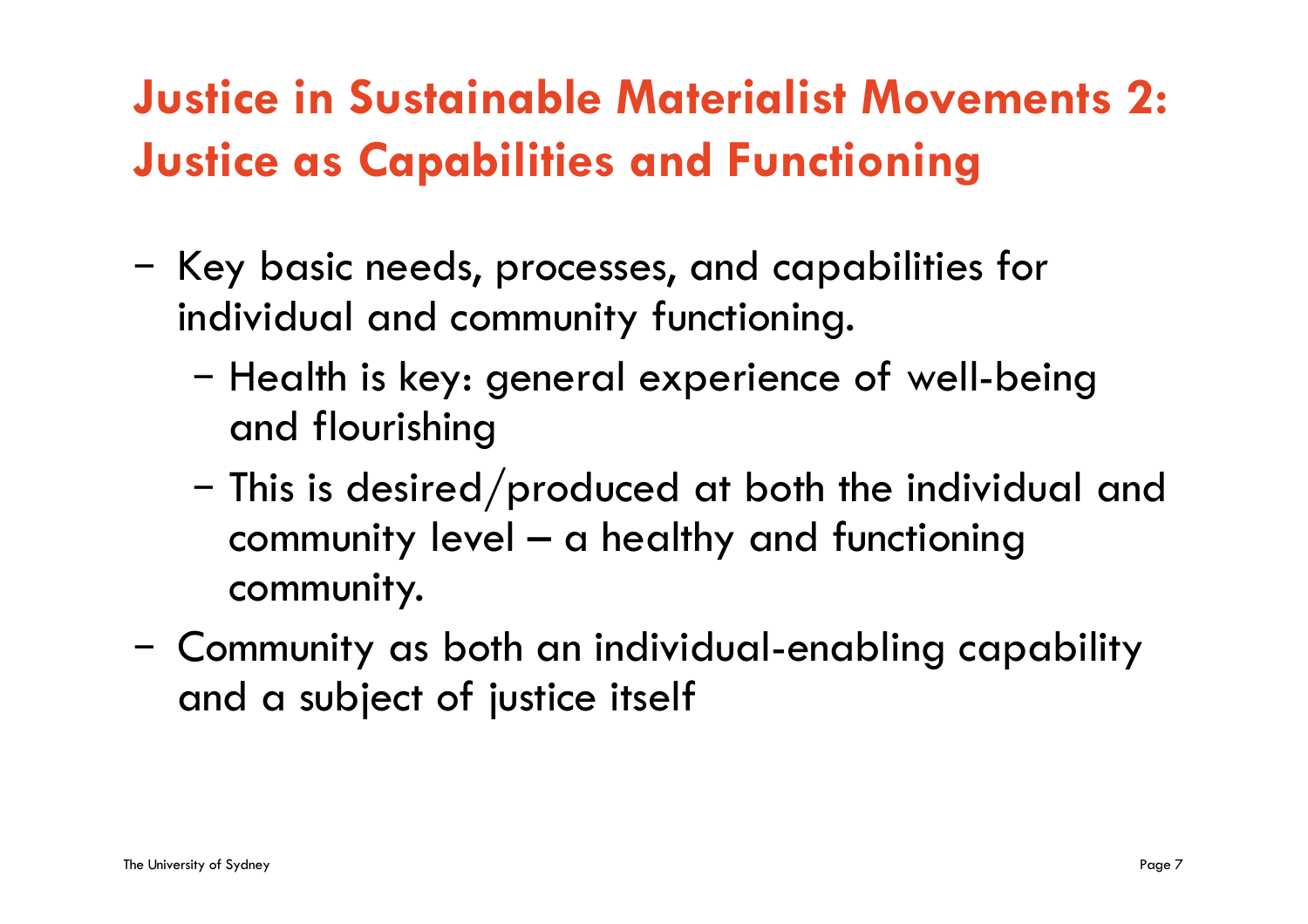# **Justice in Sustainable Materialist Movements 2: Justice as Capabilities and Functioning**

- Key basic needs, processes, and capabilities for individual and community functioning.
	- Health is key: general experience of well-being and flourishing
	- This is desired/produced at both the individual and community level – a healthy and functioning community.
- Community as both an individual-enabling capability and a subject of justice itself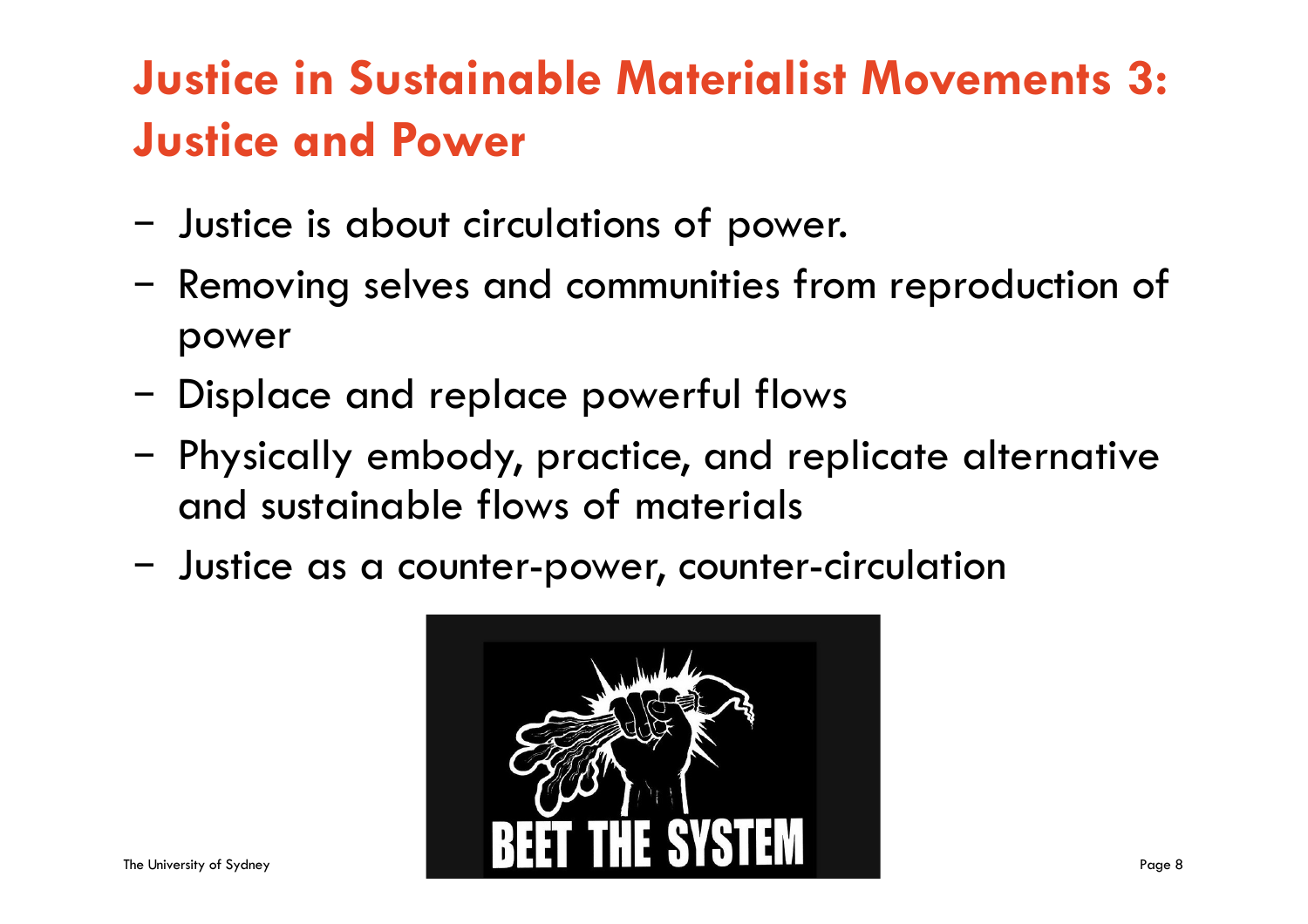# **Justice in Sustainable Materialist Movements 3: Justice and Power**

- Justice is about circulations of power.
- Removing selves and communities from reproduction of power
- Displace and replace powerful flows
- Physically embody, practice, and replicate alternative and sustainable flows of materials
- Justice as a counter-power, counter-circulation

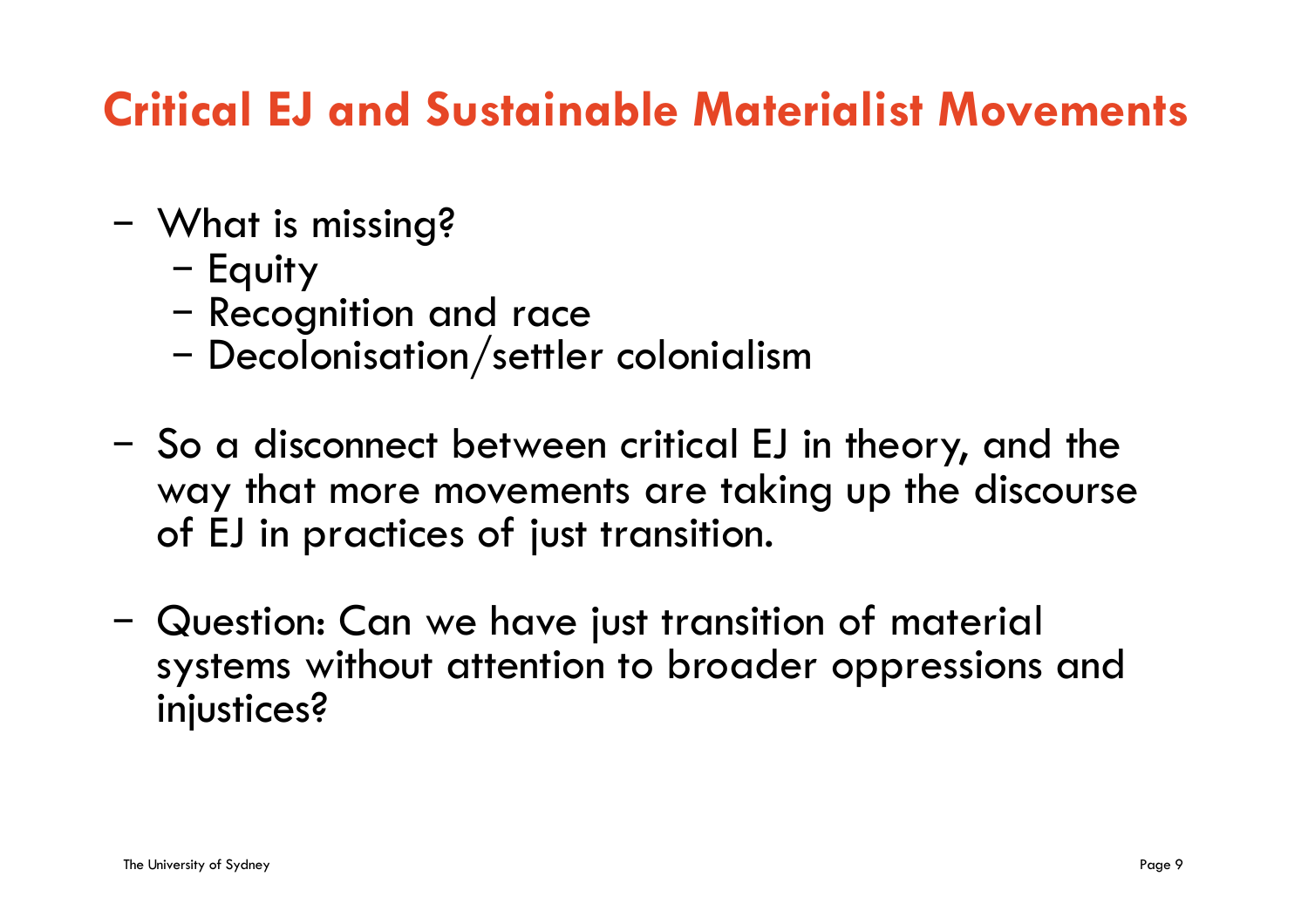### **Critical EJ and Sustainable Materialist Movements**

- What is missing?
	- Equity
	- Recognition and race
	- Decolonisation/settler colonialism
- So a disconnect between critical EJ in theory, and the way that more movements are taking up the discourse of EJ in practices of just transition.
- Question: Can we have just transition of material systems without attention to broader oppressions and injustices?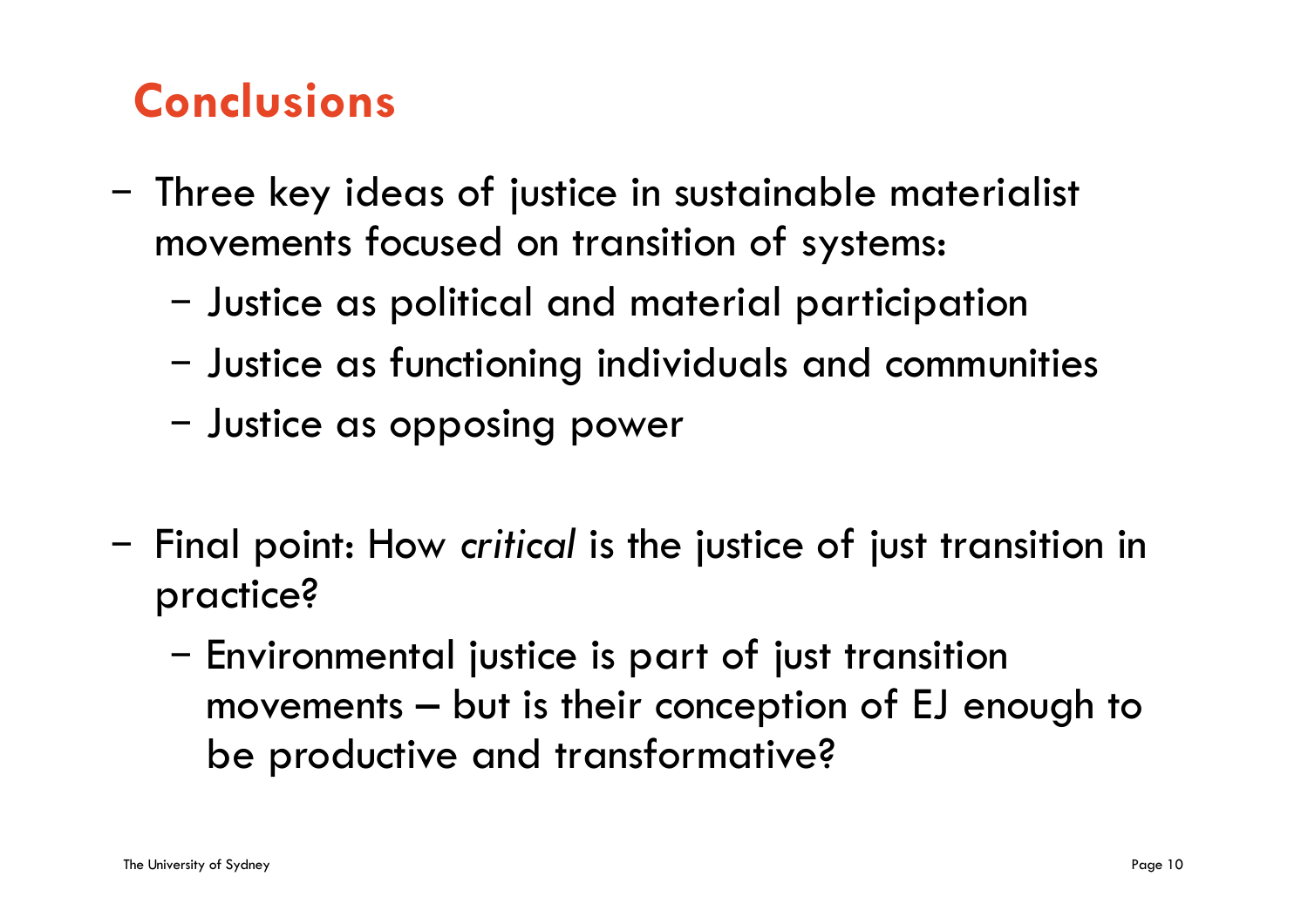## **Conclusions**

- Three key ideas of justice in sustainable materialist movements focused on transition of systems:
	- Justice as political and material participation
	- Justice as functioning individuals and communities
	- Justice as opposing power
- Final point: How *critical* is the justice of just transition in practice?
	- Environmental justice is part of just transition movements – but is their conception of EJ enough to be productive and transformative?